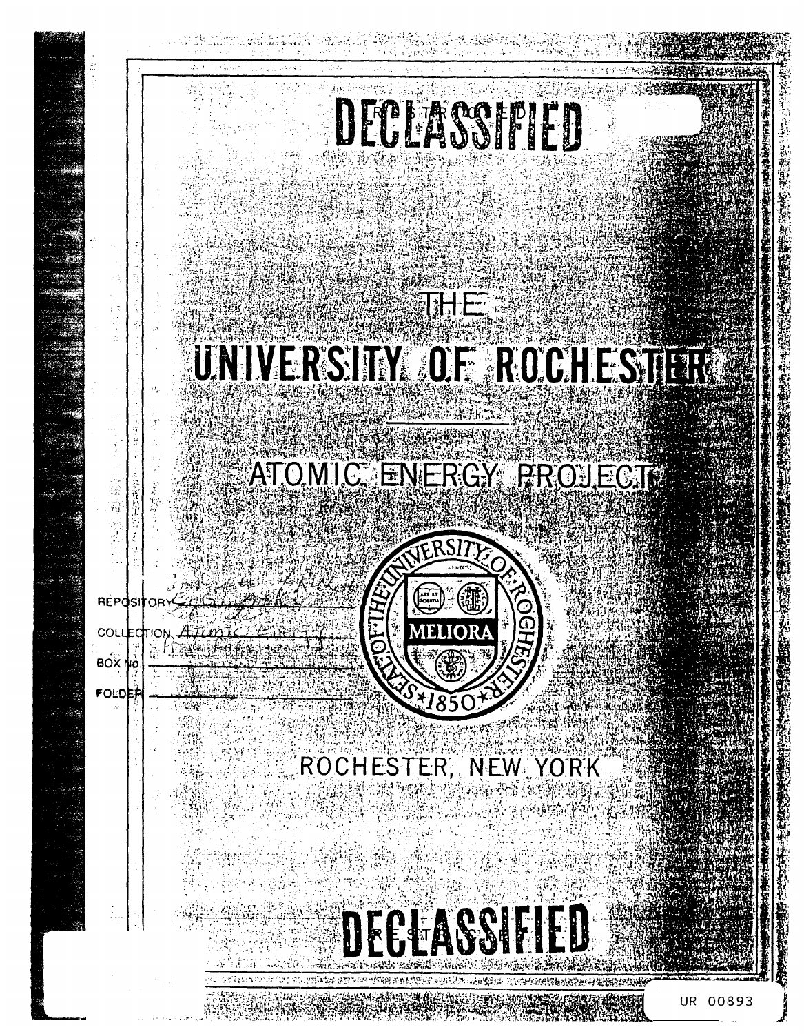# DECLASSIFIED

### **THE** UNIVERSITY OF ROCHESTER

## ATOMIC ENERGY PROJECT



### ROCHESTER, NEW YORK

DEGLASSIFIED

**BOX** 

FOLD

0893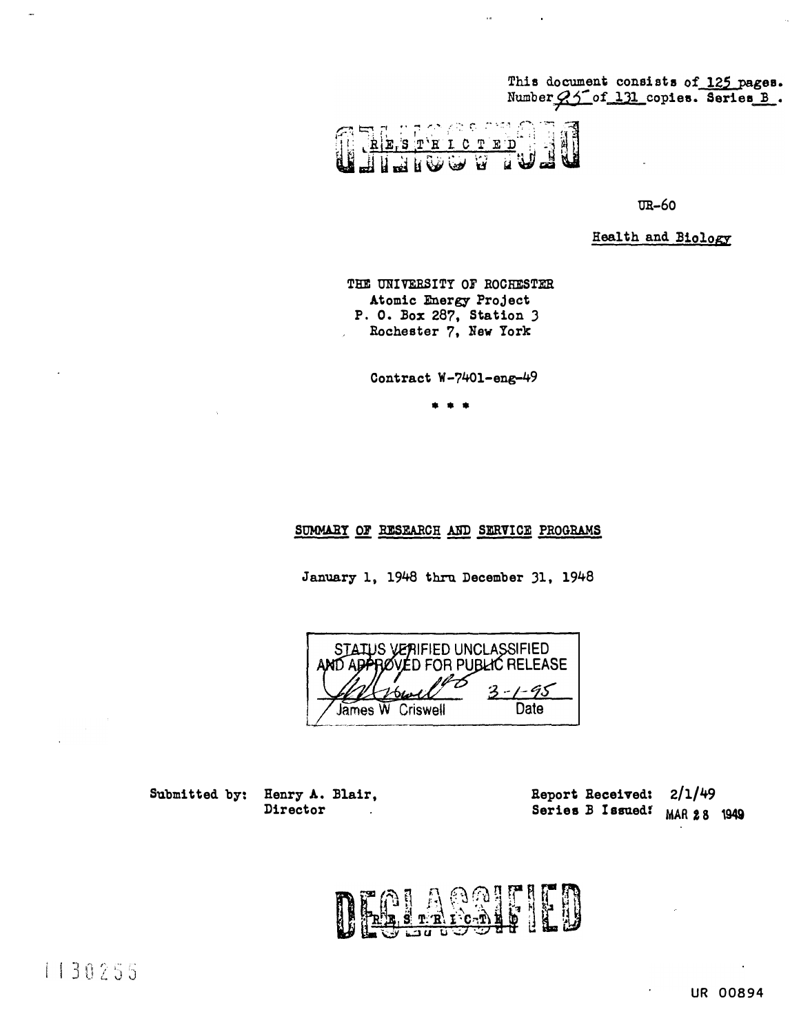This document consists of 125 pages. Number 95 of 131 copies. Series B.

大心不 ICTE  $\mathbf{R}$ ு Ŵ

 $\bar{\omega}$ 

 $\text{TR} - 60$ 

Health and Biology

THE UNIVERSITY OF ROCHESTER Atomic Energy Project P. O. Box 287, Station 3 Rochester 7, New York

Contract W-7401-eng-49

#### SUMMARY OF RESEARCH AND SERVICE PROGRAMS

January 1, 1948 thru December 31, 1948

STATUS VERIFIED UNCLASSIFIED **RØVED FOR PUBLIC RELEASE** ant) abh  $1 - 95$ 3 James W Criswell Date

Submitted by: Henry A. Blair, Director

 $2/1/49$ Report Received: Series B Issued! MAR 28 1949

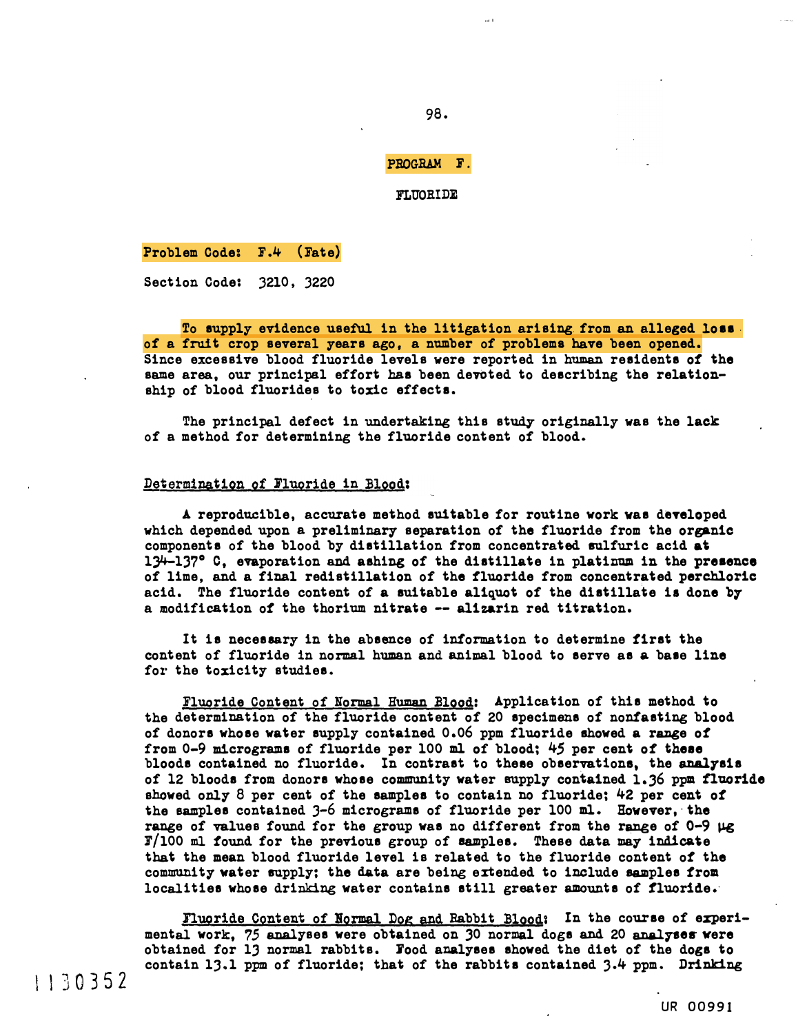98.

PBOGBAM F.

FLUORIDE

Problem Code: F.4 (Fate)

Section Code: 3210, 3220

To supply evidence useful in the litigation arising from an alleged loss. of a fruit crop several years ago, a number of problema have been opened. Since excessive blood fluoride levels were reported in human residents of the same area, our principal effort has been devoted to describing the relationship of blood fluorides to toxic effects.

The principal defect in undertaking this study originally was the lack of a method for determining the fluoride content of blood.

#### Determination of Fluoride in Blood:

A reproducible, accurate method suitable for routine work was developed which depended upon a preliminary separation of the fluoride from the organic components of the blood by distillation from concentrated sulfuric acid at  $13^{4}-137^{\circ}$  C, evaporation and ashing of the distillate in platinum in the presence of lime, and a final redistillation of the fluoride from concentrated perchloric acid. The fluoride content of a suitable aliquot of the distillate ia done by a modification of the thorium nitrate -- alizarin red titration.

It is necessary in the absence of information to determine first the content of fluoride in normal human and animal blood to serve as a base line for the toxicity studies.

Fluoride Content of Normal Human Blood: Application of this method to the determination of the fluoride content of 20 specimens of nonfasting blood of donors whose water supply contained 0.06 ppm fluoride showed a range of from  $0-9$  micrograms of fluoride per 100 ml of blood;  $45$  per cent of these bloods contained no fluoride. In contrast to these observations, the analysis of 12 bloods from donors whose community water snpply contained 1.36 ppm fluoride showed only 8 per cent of the samples to contain no fluoride; 42 per cent of the samples contained 3-6 micrograms of fluoride per 100 ml. However, the range of values found for the group was no different from the range of  $0-9 \mu g$ F/100 ml found for the previous group of samples. These data may indicate that the mean blood fluoride level is related to the fluoride content of the community water supply; the data are being extended to include samples from localities whose drinking water contains still greater amounts of fluoride.

Fluoride Content of Normal Dog and Rabbit Blood: In the course of experimental work, 75 analyses were obtained on 30 normal dogs and 20 analyses were obtained for lJ normal rabbits. Jood analyses showed the diet of the dogs to contain 13.1 ppm of fluoride; that of the rabbits contained  $3.4$  ppm. Drinking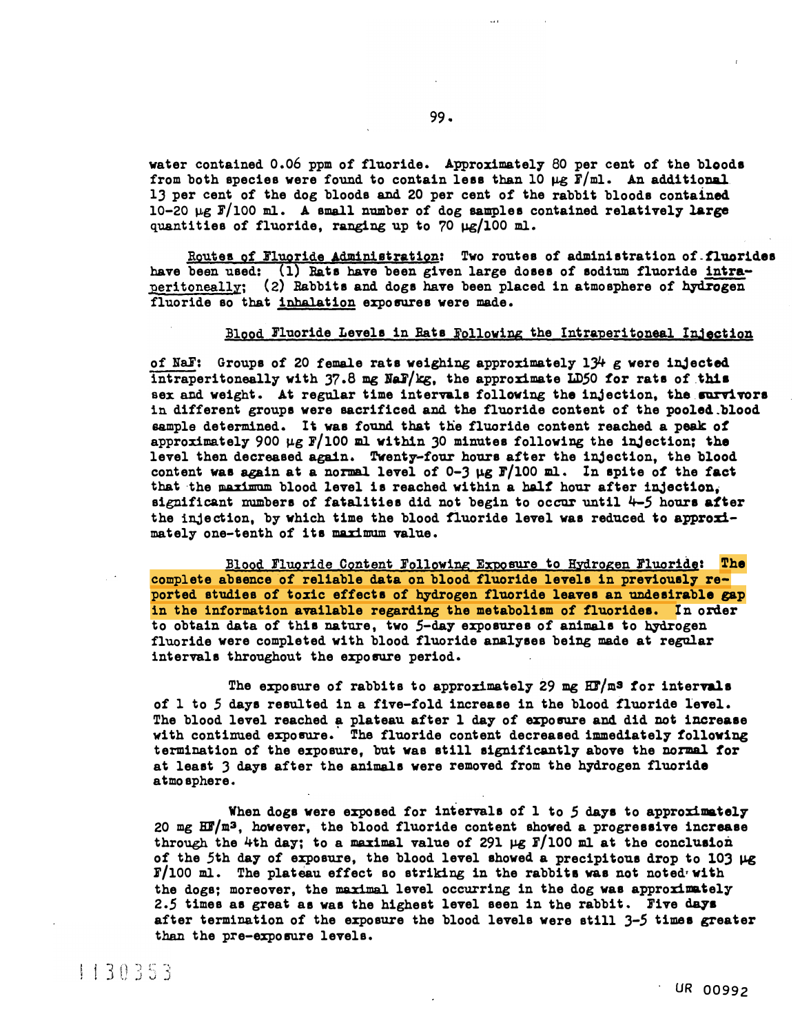water contained 0.06 ppm of fluoride. Approximately 80 per cent of the bloods from both species were found to contain less than 10  $\mu$ g  $\bar{F}/m$ l. An additional. 13 per cent of the dog bloods and 20 per cent of the rabbit bloods contained  $10-20 \mu$ g F/100 ml. A small number of dog samples contained relatively large quantities of fluoride, ranging up to 70  $\mu$ g/100 ml.

Routes of Fluoride Administration: Two routes of administration of fluorides have been used: (1) Bats have been given large doses of sodium fluoride intraperitoneally; (2) Rabbits and dogs have been placed in atmosphere of hydrogen fluoride so that inhalation exposures were made.

#### Elood Fluoride Levels in Bats Following the Intraperitoneal Injection

of NaF: Groups of 20 female rats weighing approximately  $1\frac{1}{1}$  g were injected intraperitoneally with  $37.8$  mg NaF/kg, the approximate LD50 for rats of this sex and weight. At regular time intervals following the injection, the survivors in different groups were sacrificed and the fluoride content of the pooled.blood sample determined. It was found that the fluoride content reached a peak of approximately 900  $\mu$ g F/100 ml within 30 minutes following the injection; the level then decreased again. Twenty-four hours after the inJection, the blood content was again at a normal level of  $0-3 \mu g$  F/100 ml. In spite of the fact that the maximum blood level is reached within a half hour after injection, significant numbers of fatalities did not begin to occur until  $4-5$  hours after the injection, by which time the blood fluoride level was reduced to approximately one-tenth ot' ita maximum value.

Blood Fluoride Content Following Exposure to Hydrogen Fluoride: The complete absence of reliable data on blood fluoride levels in previoualy reported studies of toxic effecta of hydrogen fluoride leavea an undesirable gap in the information available regarding the metabolism of fluorides. In order to obtain data of this nature, two 5-day exposures of animals to hydrogen fluoride were completed with blood fluoride analyses being made at regular intervals throughout the exposure period.

The exposure of rabbits to approximately 29 mg  $ET/m<sup>3</sup>$  for intervals of 1 to 5 days resulted in a five-fold increase in the blood fluoride level. The blood level reached a plateau after 1 day of exposure and did not increase ine brood rever reached a pracead area ruley or exposure and did not increase termination of the exposure, but was still significantly above the normal tor at least 3 days after the animals were removed from the hydrogen fluoride atmosphere.

When dogs were exposed for intervals of 1 to 5 days to approximately 20 mg  $EF/m^3$ , however, the blood fluoride content showed a progressive increase through the 4th day; to a maximal value of 291  $\mu$ g F/100 ml at the conclusion of the 5th day of exposure, the blood level showed a precipitous drop to 103 µg  $F/100$  ml. The plateau effect so striking in the rabbits was not noted<sup>*i*</sup> with the dogs; moreover, the maximal level occurring in the dog was approximately 2.5 times as great as was the highest level seen in the rabbit. Five days after termination of the exposure the blood levels were still  $3-5$  times greater than the pre-exposure levels.

1130353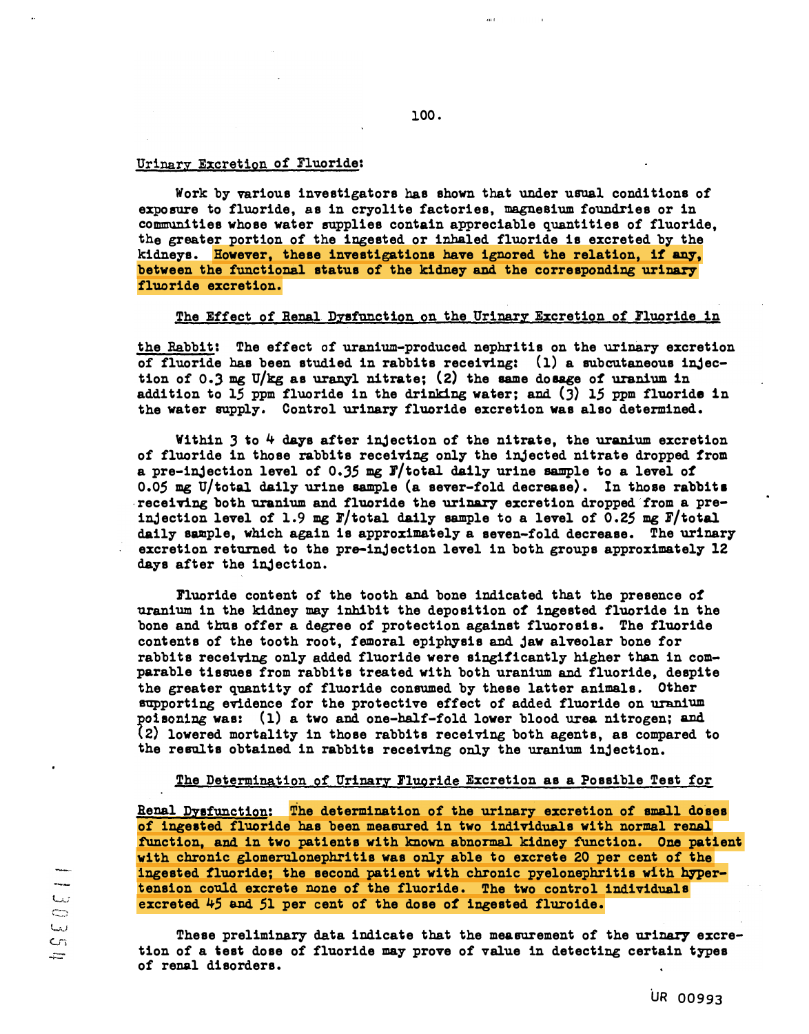#### Urinary Excretion of Fluoride:

Work by various investigators has shown that under usual conditions of exposure to fluoride, as in cryolite factories, magnesium foundries or in communities whose water supplies contain appreciable quantities of fluoride, the greater portion of the ingested or inhaled fluoride is excreted by the kidneys. However, these investigations have ignored the relation, if any, between the functional status of the kidney and the corresponding urinary fluoride excretion.

100.

#### The Effect of Renal Dysfunction on the Urinary Excretion of Fluoride in

the Rabbit: The effect of uranium-produced nephritis on the urinary excretion of fluoride has been studied in rabbits receiving: (l) a subcutaneous injection of 0.3 mg U/kg as uranyl nitrate; (2) the same dosage of uranium in addition to 15 ppm fluoride in the drinking water; and  $(3)$  15 ppm fluoride in the water supply. Control urinary fluoride excretion was also determined.

Within 3 to 4 days after injection of the nitrate, the uranium excretion of fluoride in those rabbits receiving only the injected nitrate dropped from a pre-injection level of 0.35 mg  $F/t$  otal daily urine sample to a level of 0.05 mg U/total daily urine sample (a sever-fold decrease). In those rabbits receiving both uranium and fluoride the urinary excretion dropped from a preinjection level of 1.9 mg F/total daily sample to a level of 0.25 mg F/total daily sample, which again is approximately a seven-fold decrease. The urinary excretion returned to the pre-injection level in both groups approximately 12 days after the injection.

Fluoride content of the tooth and bone indicated that the presence of uranium in the kidney may inhibit the deposition of ingested fluoride in the bone and thus offer a degree of protection against fluorosis. The fluoride contents of the tooth root, femoral epiphysis and jaw alveolar bone for rabbits receiving only added fluoride were singificantly higher than in comparable tissues from rabbits treated with both uranium and fluoride, despite the greater quantity of fluoride consumed by these latter animals. Other supporting evidence for the protective effect of added fluoride on uranium poisoning was:  $(1)$  a two and one-half-fold lower blood urea nitrogen; and (2) lowered mortality in those rabbits receiving both agents, as compared to the results obtained in rabbits receiving only the uranium injection.

#### The Determination of Urinary [Fluoride](http://P1uori.de) Excretion as a Possible Test for

Renal Dysfunction: The determination of the urinary excretion of small doses of ingeated fluoride has been measured in two individuals with normal renal function, and in two patients with known abnormal kidney function. One patient with chronic glomerulonephritis was only able to excrete 20 per cent of the ingested fluoride; the second patient with chronic pyelonephritis with hypertension could excrete none of the fluoride. The two control individuals excreted 45 and 51 per cent of the dose of ingested fluroide.

These preliminary data indicate that the measurement of the urinary excretion of a �est dose of fluoride may prove of value in detecting certain types of renal disorders.